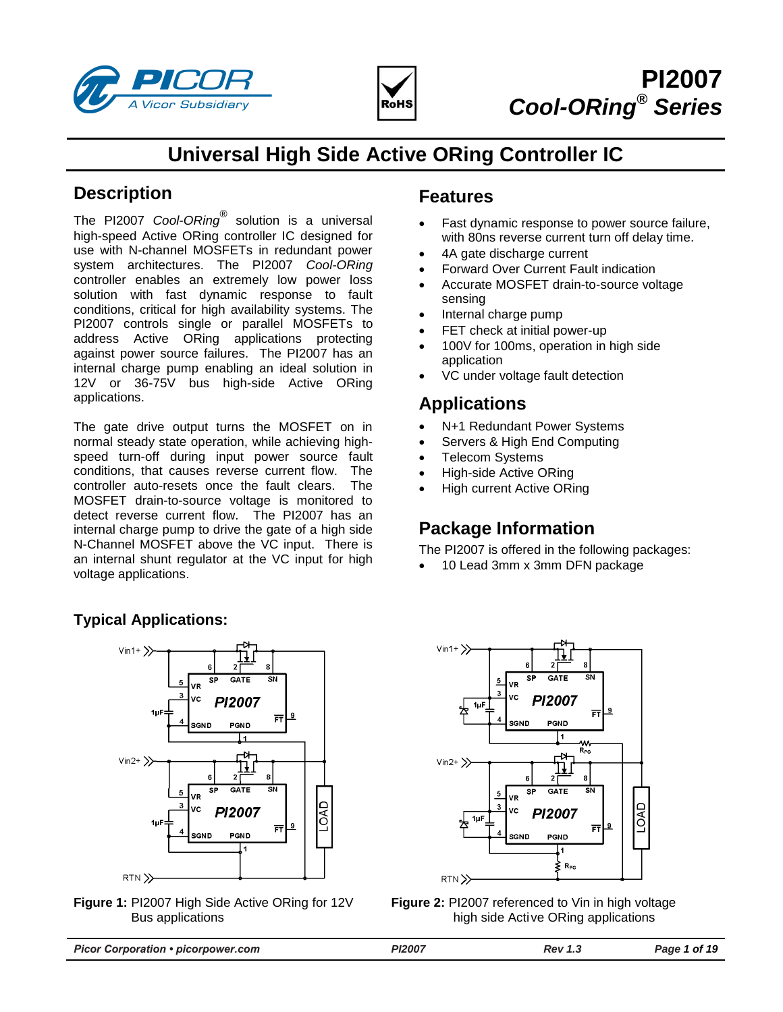



# **Universal High Side Active ORing Controller IC**

# **Description**

The PI2007 *Cool-ORing®* solution is a universal high-speed Active ORing controller IC designed for use with N-channel MOSFETs in redundant power system architectures. The PI2007 *Cool-ORing* controller enables an extremely low power loss solution with fast dynamic response to fault conditions, critical for high availability systems. The PI2007 controls single or parallel MOSFETs to address Active ORing applications protecting against power source failures. The PI2007 has an internal charge pump enabling an ideal solution in 12V or 36-75V bus high-side Active ORing applications.

The gate drive output turns the MOSFET on in normal steady state operation, while achieving highspeed turn-off during input power source fault conditions, that causes reverse current flow. The controller auto-resets once the fault clears. The MOSFET drain-to-source voltage is monitored to detect reverse current flow. The PI2007 has an internal charge pump to drive the gate of a high side N-Channel MOSFET above the VC input. There is an internal shunt regulator at the VC input for high voltage applications.

# **Typical Applications:**



<span id="page-0-1"></span>**Figure 1:** PI2007 High Side Active ORing for 12V Bus applications

# **Features**

- Fast dynamic response to power source failure, with 80ns reverse current turn off delay time.
- 4A gate discharge current
- Forward Over Current Fault indication
- Accurate MOSFET drain-to-source voltage sensing
- Internal charge pump
- FET check at initial power-up
- 100V for 100ms, operation in high side application
- VC under voltage fault detection

# **Applications**

- N+1 Redundant Power Systems
- Servers & High End Computing
- Telecom Systems
- High-side Active ORing
- High current Active ORing

# **Package Information**

The PI2007 is offered in the following packages:

10 Lead 3mm x 3mm DFN package



<span id="page-0-0"></span>**Figure 2:** PI2007 referenced to Vin in high voltage high side Active ORing applications

| <b>Picor Corporation • picorpower.com</b> | <b>PI2007</b> | Rev 1.3 | Page 1 of 19 |
|-------------------------------------------|---------------|---------|--------------|
|                                           |               |         |              |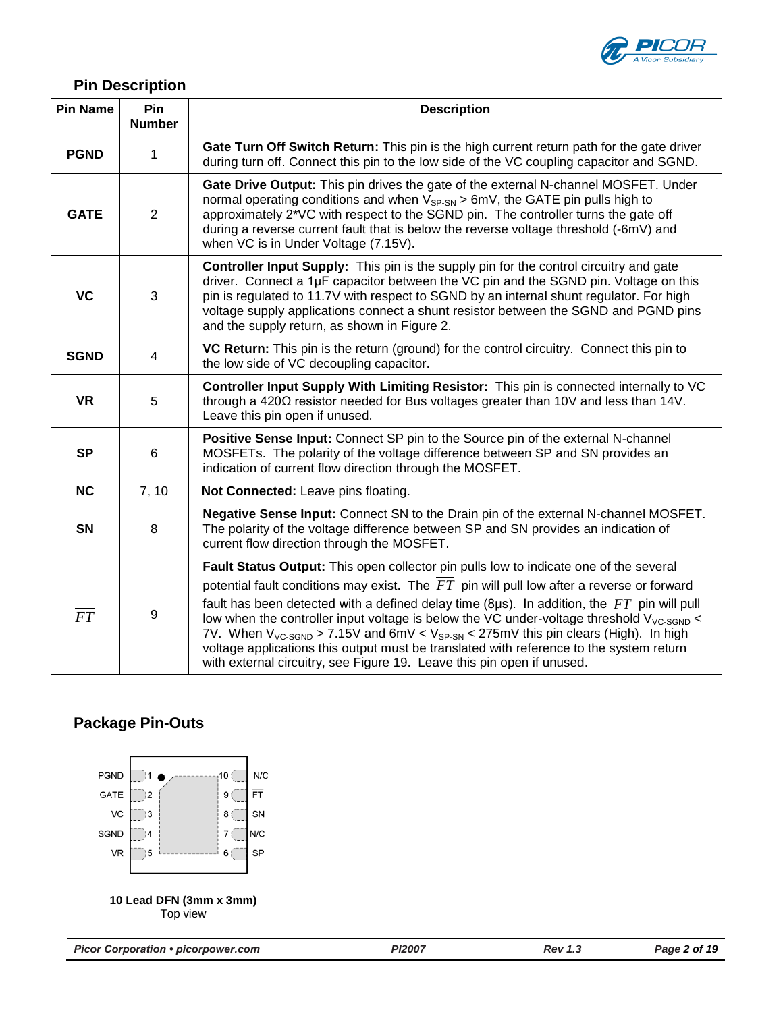

# **Pin Description**

| <b>Pin Name</b> | Pin<br><b>Number</b> | <b>Description</b>                                                                                                                                                                                                                                                                                                                                                                                                                                                                     |  |  |  |
|-----------------|----------------------|----------------------------------------------------------------------------------------------------------------------------------------------------------------------------------------------------------------------------------------------------------------------------------------------------------------------------------------------------------------------------------------------------------------------------------------------------------------------------------------|--|--|--|
| <b>PGND</b>     | 1                    | Gate Turn Off Switch Return: This pin is the high current return path for the gate driver<br>during turn off. Connect this pin to the low side of the VC coupling capacitor and SGND.                                                                                                                                                                                                                                                                                                  |  |  |  |
| <b>GATE</b>     | $\overline{2}$       | Gate Drive Output: This pin drives the gate of the external N-channel MOSFET. Under<br>normal operating conditions and when $V_{SP-SN}$ > 6mV, the GATE pin pulls high to<br>approximately 2*VC with respect to the SGND pin. The controller turns the gate off<br>during a reverse current fault that is below the reverse voltage threshold (-6mV) and<br>when VC is in Under Voltage (7.15V).                                                                                       |  |  |  |
| <b>VC</b>       | 3                    | <b>Controller Input Supply:</b> This pin is the supply pin for the control circuitry and gate<br>driver. Connect a 1µF capacitor between the VC pin and the SGND pin. Voltage on this<br>pin is regulated to 11.7V with respect to SGND by an internal shunt regulator. For high<br>voltage supply applications connect a shunt resistor between the SGND and PGND pins<br>and the supply return, as shown in Figure 2.                                                                |  |  |  |
| <b>SGND</b>     | 4                    | VC Return: This pin is the return (ground) for the control circuitry. Connect this pin to<br>the low side of VC decoupling capacitor.                                                                                                                                                                                                                                                                                                                                                  |  |  |  |
| <b>VR</b>       | 5                    | Controller Input Supply With Limiting Resistor: This pin is connected internally to VC<br>through a $420\Omega$ resistor needed for Bus voltages greater than 10V and less than 14V.<br>Leave this pin open if unused.                                                                                                                                                                                                                                                                 |  |  |  |
| <b>SP</b>       | $6\phantom{1}6$      | Positive Sense Input: Connect SP pin to the Source pin of the external N-channel<br>MOSFETs. The polarity of the voltage difference between SP and SN provides an<br>indication of current flow direction through the MOSFET.                                                                                                                                                                                                                                                          |  |  |  |
| <b>NC</b>       | 7, 10                | Not Connected: Leave pins floating.                                                                                                                                                                                                                                                                                                                                                                                                                                                    |  |  |  |
| <b>SN</b>       | 8                    | Negative Sense Input: Connect SN to the Drain pin of the external N-channel MOSFET.<br>The polarity of the voltage difference between SP and SN provides an indication of<br>current flow direction through the MOSFET.                                                                                                                                                                                                                                                                |  |  |  |
|                 |                      | Fault Status Output: This open collector pin pulls low to indicate one of the several                                                                                                                                                                                                                                                                                                                                                                                                  |  |  |  |
|                 |                      | potential fault conditions may exist. The $FT$ pin will pull low after a reverse or forward                                                                                                                                                                                                                                                                                                                                                                                            |  |  |  |
| FT              | 9                    | fault has been detected with a defined delay time (8 $\mu$ s). In addition, the $FT$ pin will pull<br>low when the controller input voltage is below the VC under-voltage threshold $V_{VC-SGND}$ <<br>7V. When $V_{VC\text{-SGND}}$ > 7.15V and 6mV < $V_{SP\text{-}SN}$ < 275mV this pin clears (High). In high<br>voltage applications this output must be translated with reference to the system return<br>with external circuitry, see Figure 19. Leave this pin open if unused. |  |  |  |

# **Package Pin-Outs**

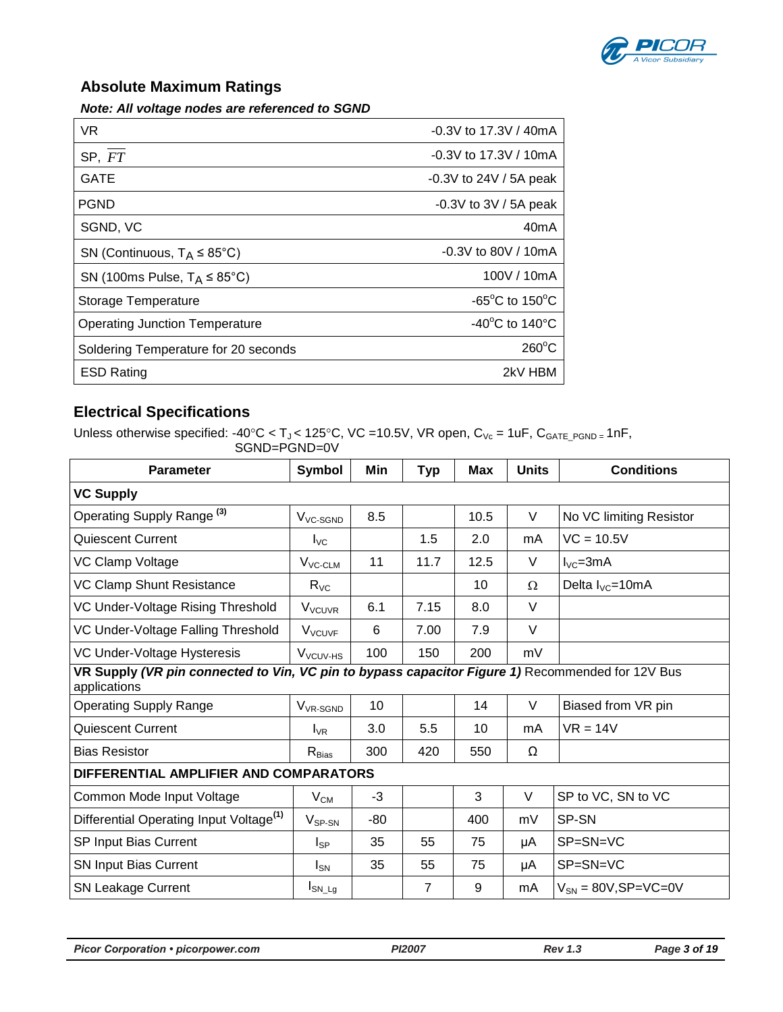

# **Absolute Maximum Ratings**

*Note: All voltage nodes are referenced to SGND*

| VR.                                       | $-0.3V$ to 17.3V / 40mA                              |
|-------------------------------------------|------------------------------------------------------|
| SP, FT                                    | $-0.3V$ to 17.3V / 10mA                              |
| <b>GATE</b>                               | $-0.3V$ to 24V / 5A peak                             |
| <b>PGND</b>                               | $-0.3V$ to 3V / 5A peak                              |
| SGND, VC                                  | 40 <sub>m</sub> A                                    |
| SN (Continuous, $T_A \leq 85^{\circ}$ C)  | $-0.3V$ to 80V / 10mA                                |
| SN (100ms Pulse, $T_A \leq 85^{\circ}$ C) | 100V / 10mA                                          |
| Storage Temperature                       | -65 $^{\circ}$ C to 150 $^{\circ}$ C                 |
| <b>Operating Junction Temperature</b>     | -40 $\mathrm{^{\circ}C}$ to 140 $\mathrm{^{\circ}C}$ |
| Soldering Temperature for 20 seconds      | $260^{\circ}$ C                                      |
| <b>ESD Rating</b>                         | 2kV HBM                                              |

# **Electrical Specifications**

Unless otherwise specified: -40°C < T<sub>J</sub> < 125°C, VC =10.5V, VR open, C<sub>Vc</sub> = 1uF, C<sub>GATE\_PGND</sub> <sub>=</sub> 1nF, SGND=PGND=0V

| Parameter                                                                                                        | <b>Symbol</b>                          | Min   | <b>Typ</b> | Max  | <b>Units</b> | <b>Conditions</b>             |  |
|------------------------------------------------------------------------------------------------------------------|----------------------------------------|-------|------------|------|--------------|-------------------------------|--|
| <b>VC Supply</b>                                                                                                 |                                        |       |            |      |              |                               |  |
| Operating Supply Range <sup>(3)</sup>                                                                            | V <sub>VC-SGND</sub>                   | 8.5   |            | 10.5 | V            | No VC limiting Resistor       |  |
| <b>Quiescent Current</b>                                                                                         | $I_{\text{VC}}$                        |       | 1.5        | 2.0  | mA           | $VC = 10.5V$                  |  |
| VC Clamp Voltage                                                                                                 | $V_{VC-CLM}$                           | 11    | 11.7       | 12.5 | V            | $I_{\text{VC}} = 3 \text{mA}$ |  |
| VC Clamp Shunt Resistance                                                                                        | $R_{\rm VC}$                           |       |            | 10   | Ω            | Delta $I_{\text{VC}}$ =10mA   |  |
| VC Under-Voltage Rising Threshold                                                                                | <b>V<sub>VCUVR</sub></b>               | 6.1   | 7.15       | 8.0  | $\vee$       |                               |  |
| VC Under-Voltage Falling Threshold                                                                               | <b>V<sub>VCUVF</sub></b>               | 6     | 7.00       | 7.9  | $\vee$       |                               |  |
| VC Under-Voltage Hysteresis                                                                                      | V <sub>VCUV-HS</sub>                   | 100   | 150        | 200  | mV           |                               |  |
| VR Supply (VR pin connected to Vin, VC pin to bypass capacitor Figure 1) Recommended for 12V Bus<br>applications |                                        |       |            |      |              |                               |  |
| <b>Operating Supply Range</b>                                                                                    | V <sub>VR-SGND</sub>                   | 10    |            | 14   | V            | Biased from VR pin            |  |
| <b>Quiescent Current</b>                                                                                         | $I_{VR}$                               | 3.0   | 5.5        | 10   | mA           | $VR = 14V$                    |  |
| <b>Bias Resistor</b>                                                                                             | $R_{Bias}$                             | 300   | 420        | 550  | Ω            |                               |  |
|                                                                                                                  | DIFFERENTIAL AMPLIFIER AND COMPARATORS |       |            |      |              |                               |  |
| Common Mode Input Voltage                                                                                        | $V_{CM}$                               | $-3$  |            | 3    | V            | SP to VC, SN to VC            |  |
| Differential Operating Input Voltage <sup>(1)</sup>                                                              | $V_{SP-SN}$                            | $-80$ |            | 400  | mV           | SP-SN                         |  |
| SP Input Bias Current                                                                                            | $I_{SP}$                               | 35    | 55         | 75   | μA           | SP=SN=VC                      |  |
| SN Input Bias Current                                                                                            | $I_{SN}$                               | 35    | 55         | 75   | μA           | SP=SN=VC                      |  |
| <b>SN Leakage Current</b>                                                                                        | $I_{SN\_Lg}$                           |       | 7          | 9    | mA           | $V_{SN}$ = 80V, SP=VC=0V      |  |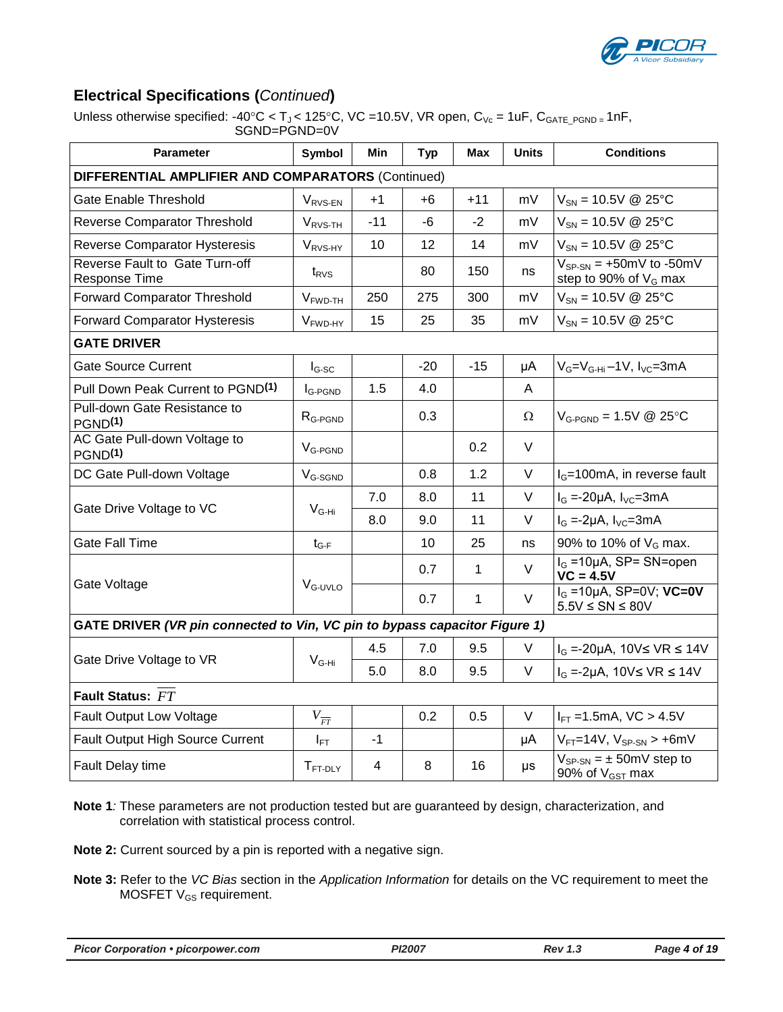

# **Electrical Specifications (***Continued***)**

Unless otherwise specified: -40°C < T<sub>J</sub> < 125°C, VC = 10.5V, VR open, C<sub>Vc</sub> = 1uF, C<sub>GATE PGND</sub> = 1nF, SGND=PGND=0V

| <b>Parameter</b>                                                           | <b>Symbol</b>       | Min   | <b>Typ</b> | Max          | <b>Units</b> | <b>Conditions</b>                                              |  |
|----------------------------------------------------------------------------|---------------------|-------|------------|--------------|--------------|----------------------------------------------------------------|--|
| DIFFERENTIAL AMPLIFIER AND COMPARATORS (Continued)                         |                     |       |            |              |              |                                                                |  |
| <b>Gate Enable Threshold</b>                                               | $V_{RVS-EN}$        | $+1$  | +6         | +11          | mV           | $V_{SN} = 10.5V \& 25°C$                                       |  |
| Reverse Comparator Threshold                                               | V <sub>RVS-TH</sub> | $-11$ | -6         | $-2$         | mV           | $V_{SN} = 10.5V \& 25°C$                                       |  |
| Reverse Comparator Hysteresis                                              | V <sub>RVS-HY</sub> | 10    | 12         | 14           | mV           | $V_{SN} = 10.5V \ @ 25°C$                                      |  |
| Reverse Fault to Gate Turn-off<br>Response Time                            | $t_{RVS}$           |       | 80         | 150          | ns           | $V_{SP-SN}$ = +50mV to -50mV<br>step to 90% of $V_G$ max       |  |
| <b>Forward Comparator Threshold</b>                                        | $VFWD-TH$           | 250   | 275        | 300          | mV           | $V_{SN} = 10.5V \& 25°C$                                       |  |
| <b>Forward Comparator Hysteresis</b>                                       | V <sub>FWD-HY</sub> | 15    | 25         | 35           | mV           | $V_{SN} = 10.5V \& 25°C$                                       |  |
| <b>GATE DRIVER</b>                                                         |                     |       |            |              |              |                                                                |  |
| <b>Gate Source Current</b>                                                 | $I_{G-SC}$          |       | $-20$      | $-15$        | μA           | $V_G=V_{G-Hi}-1V$ , $I_{VC}=3mA$                               |  |
| Pull Down Peak Current to PGND <sup>(1)</sup>                              | <b>IG-PGND</b>      | 1.5   | 4.0        |              | A            |                                                                |  |
| Pull-down Gate Resistance to<br>PGND <sup>(1)</sup>                        | $RG-PGND$           |       | 0.3        |              | Ω            | $V_{G-PGND} = 1.5V \& 25°C$                                    |  |
| AC Gate Pull-down Voltage to<br>PGND <sup>(1)</sup>                        | V <sub>G-PGND</sub> |       |            | 0.2          | V            |                                                                |  |
| DC Gate Pull-down Voltage                                                  | $V_{G\text{-SGND}}$ |       | 0.8        | 1.2          | V            | $I_G$ =100mA, in reverse fault                                 |  |
| Gate Drive Voltage to VC                                                   | $V_{G-Hi}$          | 7.0   | 8.0        | 11           | V            | $I_G = -20\mu A$ , $I_{VC} = 3mA$                              |  |
|                                                                            |                     | 8.0   | 9.0        | 11           | V            | $I_G = -2\mu A$ , $I_{VC} = 3mA$                               |  |
| <b>Gate Fall Time</b>                                                      | $t_{G-F}$           |       | 10         | 25           | ns           | 90% to 10% of $V_G$ max.                                       |  |
| Gate Voltage                                                               | $VG-UVLO$           |       | 0.7        | 1            | $\vee$       | $I_G = 10\mu A$ , SP= SN=open<br>$VC = 4.5V$                   |  |
|                                                                            |                     |       | 0.7        | $\mathbf{1}$ | V            | $IG$ =10µA, SP=0V; VC=0V<br>$5.5V \leq SN \leq 80V$            |  |
| GATE DRIVER (VR pin connected to Vin, VC pin to bypass capacitor Figure 1) |                     |       |            |              |              |                                                                |  |
| Gate Drive Voltage to VR                                                   | $V_{G-Hi}$          | 4.5   | 7.0        | 9.5          | V            | $I_G$ =-20µA, 10V≤ VR ≤ 14V                                    |  |
|                                                                            |                     | 5.0   | 8.0        | 9.5          | V            | $I_G$ =-2µA, 10V≤ VR ≤ 14V                                     |  |
| Fault Status: FT                                                           |                     |       |            |              |              |                                                                |  |
| <b>Fault Output Low Voltage</b>                                            | $V_{\overline{FT}}$ |       | 0.2        | 0.5          | $\vee$       | $I_{FT}$ =1.5mA, VC > 4.5V                                     |  |
| Fault Output High Source Current                                           | $I_{\mathsf{FT}}$   | $-1$  |            |              | μA           | $V_{FT}$ =14V, $V_{SP-SN}$ > +6mV                              |  |
| Fault Delay time                                                           | $T_{FT-DLY}$        | 4     | 8          | 16           | $\mu s$      | $V_{SP-SN} = \pm 50$ mV step to<br>90% of $V_{\text{GST}}$ max |  |

**Note 1***:* These parameters are not production tested but are guaranteed by design, characterization, and correlation with statistical process control.

**Note 2:** Current sourced by a pin is reported with a negative sign.

**Note 3:** Refer to the *VC Bias* section in the *Application Information* for details on the VC requirement to meet the MOSFET V<sub>GS</sub> requirement.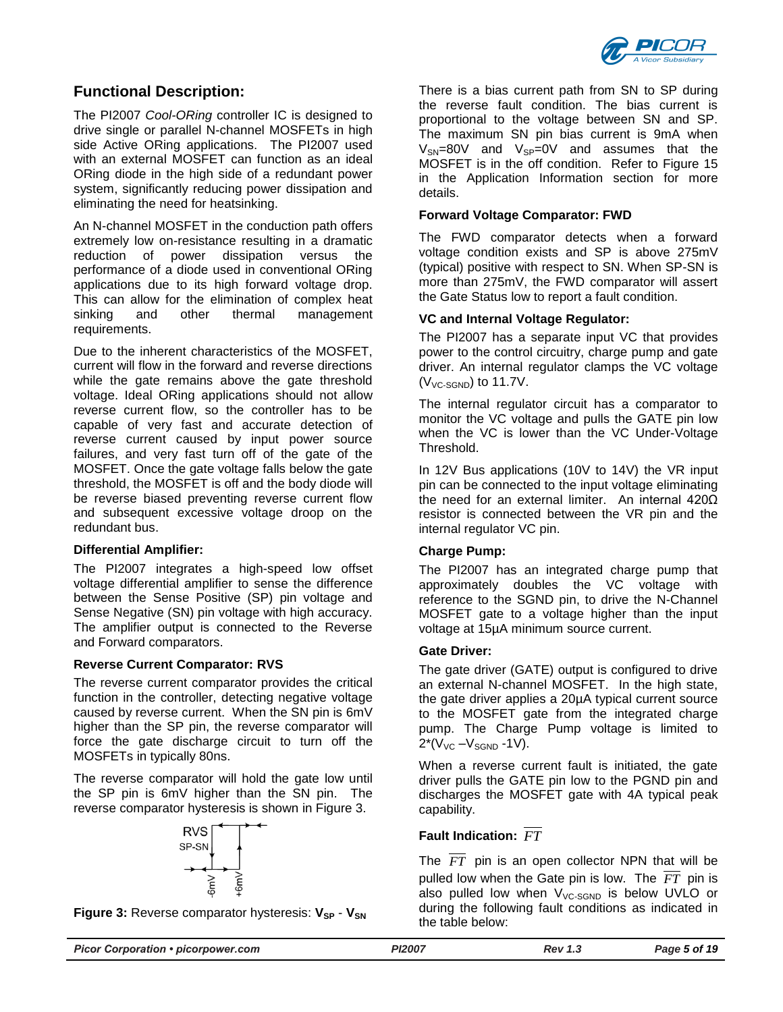

# **Functional Description:**

The PI2007 *Cool-ORing* controller IC is designed to drive single or parallel N-channel MOSFETs in high side Active ORing applications. The PI2007 used with an external MOSFET can function as an ideal ORing diode in the high side of a redundant power system, significantly reducing power dissipation and eliminating the need for heatsinking.

An N-channel MOSFET in the conduction path offers extremely low on-resistance resulting in a dramatic reduction of power dissipation versus the performance of a diode used in conventional ORing applications due to its high forward voltage drop. This can allow for the elimination of complex heat sinking and other thermal management requirements.

Due to the inherent characteristics of the MOSFET, current will flow in the forward and reverse directions while the gate remains above the gate threshold voltage. Ideal ORing applications should not allow reverse current flow, so the controller has to be capable of very fast and accurate detection of reverse current caused by input power source failures, and very fast turn off of the gate of the MOSFET. Once the gate voltage falls below the gate threshold, the MOSFET is off and the body diode will be reverse biased preventing reverse current flow and subsequent excessive voltage droop on the redundant bus.

### **Differential Amplifier:**

The PI2007 integrates a high-speed low offset voltage differential amplifier to sense the difference between the Sense Positive (SP) pin voltage and Sense Negative (SN) pin voltage with high accuracy. The amplifier output is connected to the Reverse and Forward comparators.

### **Reverse Current Comparator: RVS**

The reverse current comparator provides the critical function in the controller, detecting negative voltage caused by reverse current. When the SN pin is 6mV higher than the SP pin, the reverse comparator will force the gate discharge circuit to turn off the MOSFETs in typically 80ns.

The reverse comparator will hold the gate low until the SP pin is 6mV higher than the SN pin. The reverse comparator hysteresis is shown in [Figure 3.](#page-4-0)



<span id="page-4-0"></span>**Figure 3:** Reverse comparator hysteresis:  $V_{SP}$  -  $V_{SN}$ 

There is a bias current path from SN to SP during the reverse fault condition. The bias current is proportional to the voltage between SN and SP. The maximum SN pin bias current is 9mA when  $V_{SN}=80V$  and  $V_{SP}=0V$  and assumes that the MOSFET is in the off condition. Refer to [Figure 15](#page-10-0) in the Application Information section for more details.

#### **Forward Voltage Comparator: FWD**

The FWD comparator detects when a forward voltage condition exists and SP is above 275mV (typical) positive with respect to SN. When SP-SN is more than 275mV, the FWD comparator will assert the Gate Status low to report a fault condition.

#### **VC and Internal Voltage Regulator:**

The PI2007 has a separate input VC that provides power to the control circuitry, charge pump and gate driver. An internal regulator clamps the VC voltage  $(V<sub>VC-SGND</sub>)$  to 11.7V.

The internal regulator circuit has a comparator to monitor the VC voltage and pulls the GATE pin low when the VC is lower than the VC Under-Voltage Threshold.

In 12V Bus applications (10V to 14V) the VR input pin can be connected to the input voltage eliminating the need for an external limiter. An internal 420Ω resistor is connected between the VR pin and the internal regulator VC pin.

### **Charge Pump:**

The PI2007 has an integrated charge pump that approximately doubles the VC voltage with reference to the SGND pin, to drive the N-Channel MOSFET gate to a voltage higher than the input voltage at 15µA minimum source current.

#### **Gate Driver:**

The gate driver (GATE) output is configured to drive an external N-channel MOSFET. In the high state, the gate driver applies a 20µA typical current source to the MOSFET gate from the integrated charge pump. The Charge Pump voltage is limited to  $2*(V_{VC} - V_{SGND} - 1V)$ .

When a reverse current fault is initiated, the gate driver pulls the GATE pin low to the PGND pin and discharges the MOSFET gate with 4A typical peak capability.

# **Fault Indication:**  *FT*

The *FT* pin is an open collector NPN that will be pulled low when the Gate pin is low. The *FT* pin is also pulled low when  $V_{VC-SGND}$  is below UVLO or during the following fault conditions as indicated in the table below: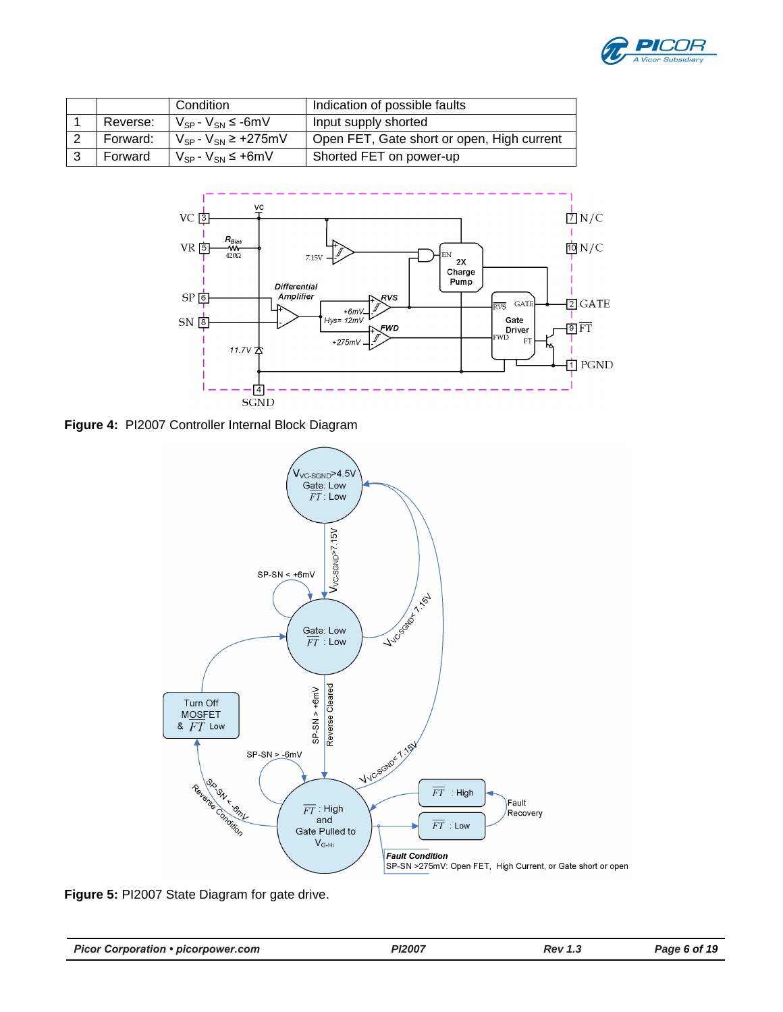

|          | Condition                       | Indication of possible faults              |
|----------|---------------------------------|--------------------------------------------|
| Reverse: | $V_{SP}$ - $V_{SN}$ $\leq$ -6mV | Input supply shorted                       |
| Forward: | $V_{SP}$ - $V_{SN}$ ≥ +275mV    | Open FET, Gate short or open, High current |
| Forward  | $V_{SP}$ - $V_{SN} \leq +6$ mV  | Shorted FET on power-up                    |



**Figure 4:** PI2007 Controller Internal Block Diagram



**Figure 5:** PI2007 State Diagram for gate drive.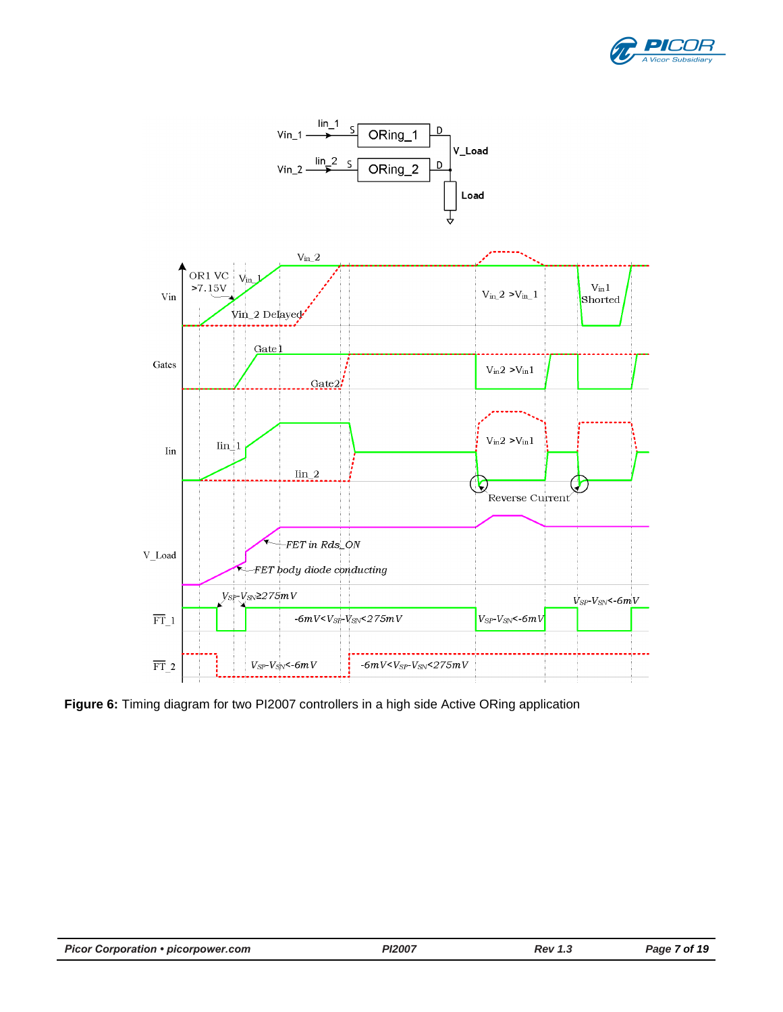



**Figure 6:** Timing diagram for two PI2007 controllers in a high side Active ORing application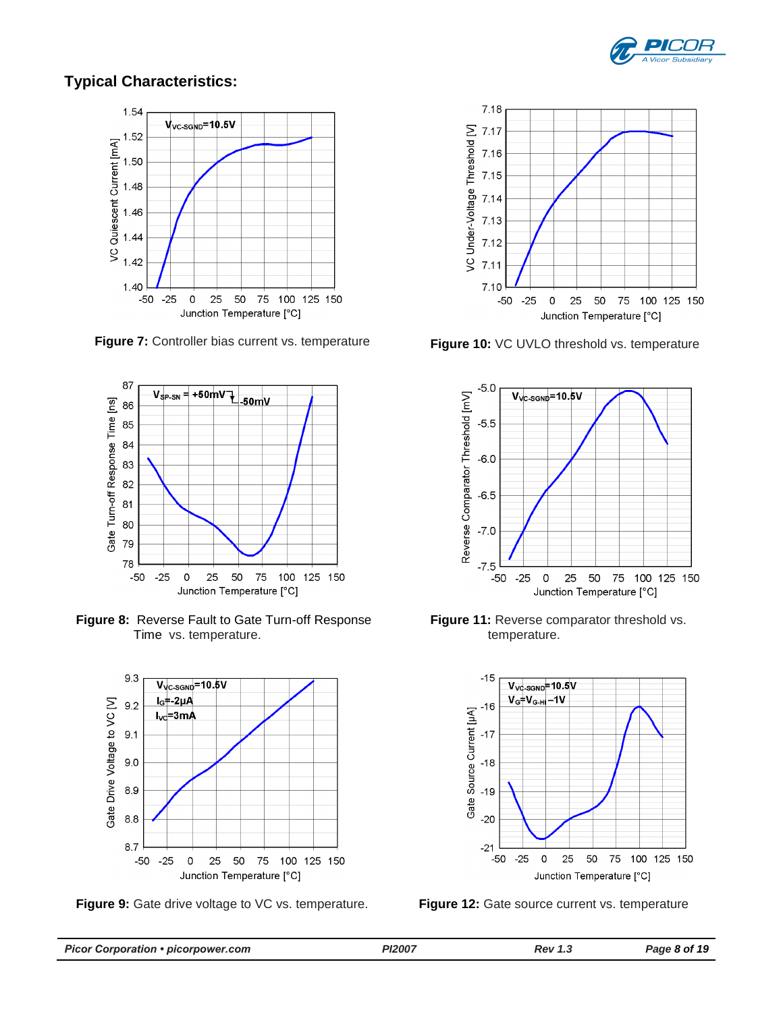

# **Typical Characteristics:**



**Figure 7:** Controller bias current vs. temperature



**Figure 8:** Reverse Fault to Gate Turn-off Response Time vs. temperature.



**Figure 9:** Gate drive voltage to VC vs. temperature.



**Figure 10:** VC UVLO threshold vs. temperature



**Figure 11:** Reverse comparator threshold vs. temperature.



**Figure 12:** Gate source current vs. temperature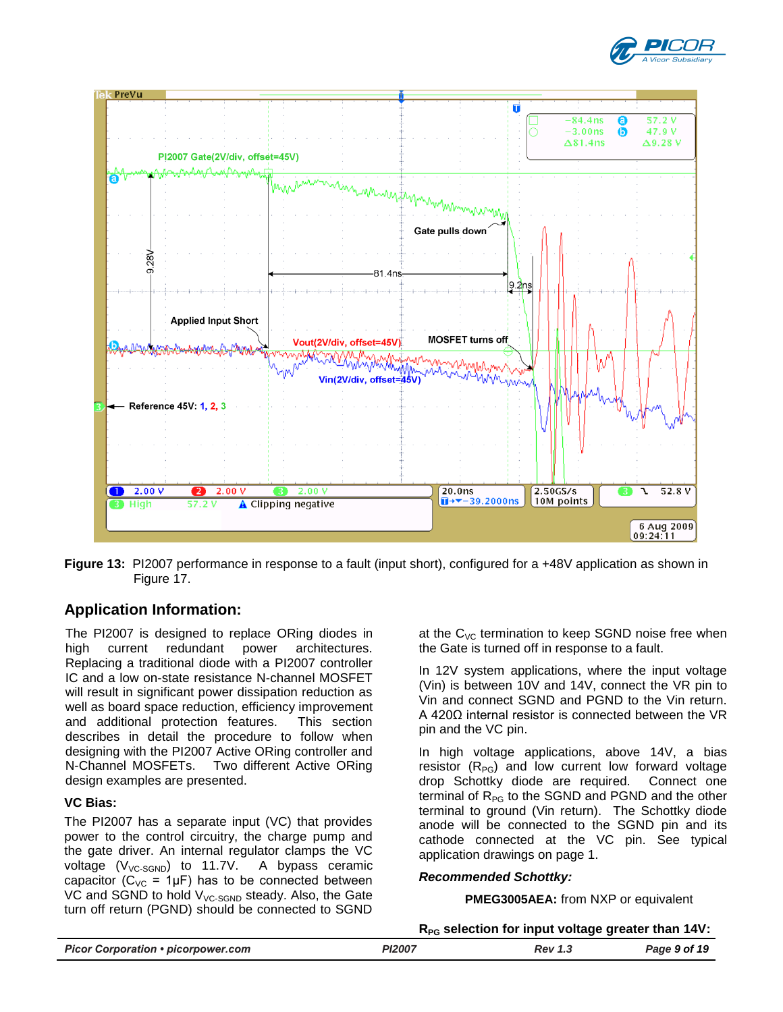



**Figure 13:** PI2007 performance in response to a fault (input short), configured for a +48V application as shown in [Figure 17.](#page-13-0)

# **Application Information:**

The PI2007 is designed to replace ORing diodes in high current redundant power architectures. Replacing a traditional diode with a PI2007 controller IC and a low on-state resistance N-channel MOSFET will result in significant power dissipation reduction as well as board space reduction, efficiency improvement and additional protection features. This section describes in detail the procedure to follow when designing with the PI2007 Active ORing controller and N-Channel MOSFETs. Two different Active ORing design examples are presented.

## **VC Bias:**

The PI2007 has a separate input (VC) that provides power to the control circuitry, the charge pump and the gate driver. An internal regulator clamps the VC voltage  $(V_{VC-SGND})$  to 11.7V. A bypass ceramic capacitor ( $C_{VC}$  = 1µF) has to be connected between VC and SGND to hold  $V_{VC\text{-SGND}}$  steady. Also, the Gate turn off return (PGND) should be connected to SGND

at the  $C_{VC}$  termination to keep SGND noise free when the Gate is turned off in response to a fault.

In 12V system applications, where the input voltage (Vin) is between 10V and 14V, connect the VR pin to Vin and connect SGND and PGND to the Vin return. A 420Ω internal resistor is connected between the VR pin and the VC pin.

In high voltage applications, above 14V, a bias resistor  $(R_{PG})$  and low current low forward voltage drop Schottky diode are required. Connect one terminal of  $R_{PG}$  to the SGND and PGND and the other terminal to ground (Vin return). The Schottky diode anode will be connected to the SGND pin and its cathode connected at the VC pin. See typical application drawings on page 1.

### *Recommended Schottky:*

**PMEG3005AEA:** from NXP or equivalent

### **RPG selection for input voltage greater than 14V:**

|                                           |               | __      |              |
|-------------------------------------------|---------------|---------|--------------|
| <b>Picor Corporation • picorpower.com</b> | <b>PI2007</b> | Rev 1 ° | Page 9 of 19 |
|                                           |               |         |              |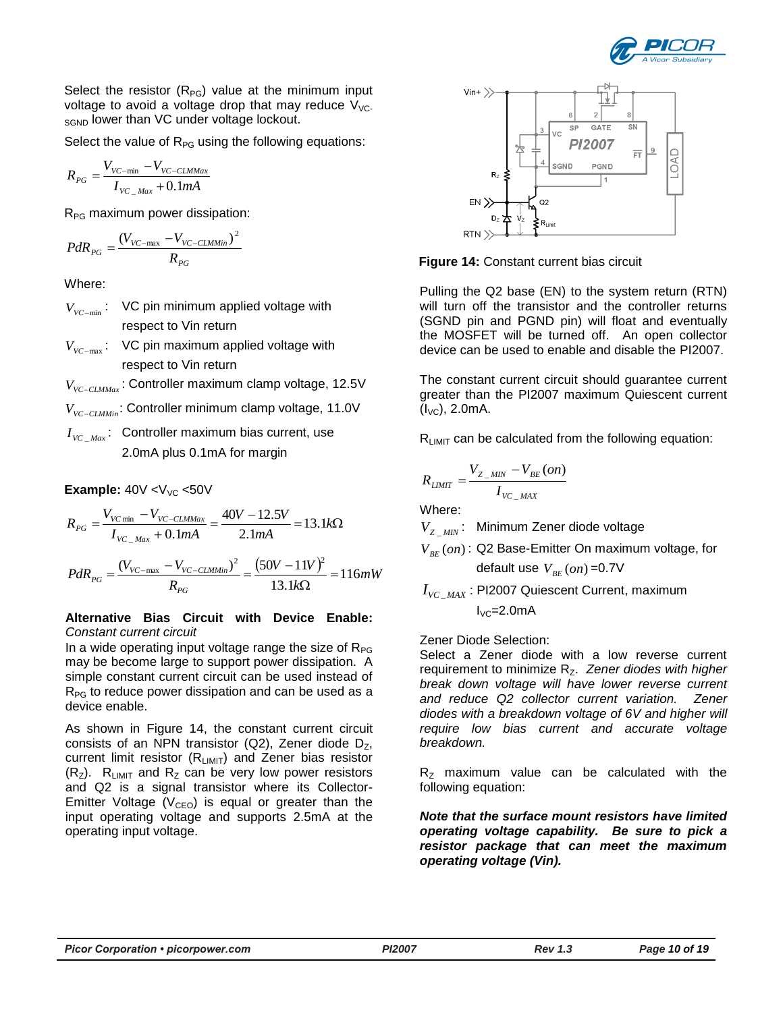

Select the resistor  $(R_{PG})$  value at the minimum input voltage to avoid a voltage drop that may reduce  $V_{\text{VC}}$ . SGND lower than VC under voltage lockout.

Select the value of  $R_{PG}$  using the following equations:

$$
R_{PG} = \frac{V_{VC-min} - V_{VC-CLMMax}}{I_{VC\_Max} + 0.1mA}
$$

 $R_{PG}$  maximum power dissipation:

$$
PdR_{PG} = \frac{(V_{VC-\text{max}} - V_{VC-\text{CLMMin}})^2}{R_{PG}}
$$

Where:

- $V_{\text{VC-min}}$ : VC pin minimum applied voltage with respect to Vin return
- $V_{\text{VC-max}}$ : VC pin maximum applied voltage with respect to Vin return
- *VVCCLMMax* : Controller maximum clamp voltage, 12.5V
- *VVCCLMMin* : Controller minimum clamp voltage, 11.0V
- $I_{\textit{VC}_{\perp} \textit{Max}}$ : Controller maximum bias current, use 2.0mA plus 0.1mA for margin

**Example:**  $40V < V<sub>VC</sub> < 50V$ 

$$
R_{PG} = \frac{V_{VC \text{ min}} - V_{VC-CLMMax}}{I_{VC\_Max} + 0.1mA} = \frac{40V - 12.5V}{2.1mA} = 13.1k\Omega
$$

$$
PdR_{PG} = \frac{(V_{VC-\text{max}} - V_{VC-\text{CLMMin}})^2}{R_{PG}} = \frac{(50V - 11V)^2}{13.1k\Omega} = 116mW
$$

### **Alternative Bias Circuit with Device Enable:** *Constant current circuit*

In a wide operating input voltage range the size of  $R_{PG}$ may be become large to support power dissipation. A simple constant current circuit can be used instead of  $R_{PG}$  to reduce power dissipation and can be used as a device enable.

As shown in [Figure 14,](#page-9-0) the constant current circuit consists of an NPN transistor (Q2), Zener diode  $D_z$ , current limit resistor  $(R_{LIMIT})$  and Zener bias resistor  $(R<sub>Z</sub>)$ . R<sub>LIMIT</sub> and R<sub>Z</sub> can be very low power resistors and Q2 is a signal transistor where its Collector-Emitter Voltage ( $V_{CEO}$ ) is equal or greater than the input operating voltage and supports 2.5mA at the operating input voltage.



<span id="page-9-0"></span>**Figure 14:** Constant current bias circuit

Pulling the Q2 base (EN) to the system return (RTN) will turn off the transistor and the controller returns (SGND pin and PGND pin) will float and eventually the MOSFET will be turned off. An open collector device can be used to enable and disable the PI2007.

The constant current circuit should guarantee current greater than the PI2007 maximum Quiescent current  $(I_{VC})$ , 2.0mA.

 $R<sub>LIMIT</sub>$  can be calculated from the following equation:

$$
R_{LIMIT} = \frac{V_{Z_{MIN}} - V_{BE}(on)}{I_{VC_{MAX}}}
$$

Where:

*V<sup>Z</sup>* \_ *MIN* : Minimum Zener diode voltage

 $V_{BE}(on)$ : Q2 Base-Emitter On maximum voltage, for

default use 
$$
V_{BE}(on)
$$
 =0.7V

 $I_{\rm \scriptscriptstyle VC\_MAX}$  : PI2007 Quiescent Current, maximum

 $I_{VC}$ =2.0mA

Zener Diode Selection:

Select a Zener diode with a low reverse current requirement to minimize R<sub>Z</sub>. Zener diodes with higher *break down voltage will have lower reverse current and reduce Q2 collector current variation. Zener diodes with a breakdown voltage of 6V and higher will require low bias current and accurate voltage breakdown.*

 $R<sub>z</sub>$  maximum value can be calculated with the following equation:

*Note that the surface mount resistors have limited operating voltage capability. Be sure to pick a resistor package that can meet the maximum operating voltage (Vin).*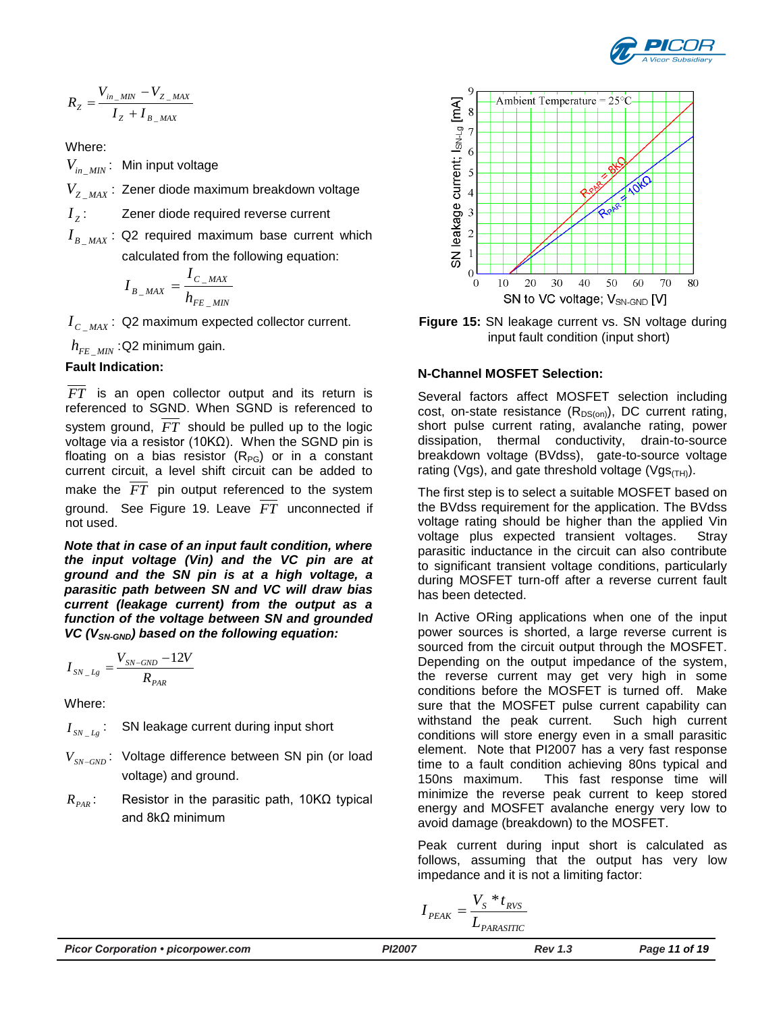

$$
R_{Z} = \frac{V_{in\_MIN} - V_{Z\_MAX}}{I_{Z} + I_{B\_MAX}}
$$

Where:

*Vin*\_ *MIN* : Min input voltage

*V<sup>Z</sup>* \_ *MAX* : Zener diode maximum breakdown voltage

*Z I* Zener diode required reverse current

 $I_{B_{\perp}MAX}$ : Q2 required maximum base current which calculated from the following equation:

$$
I_{B_{-}MAX} = \frac{I_{C_{-}MAX}}{h_{FE_{-}MIN}}
$$

 $I_{C\_MAX}$ : Q2 maximum expected collector current.

*hFE* \_ *MIN* :Q2 minimum gain.

# **Fault Indication:**

*FT* is an open collector output and its return is referenced to SGND. When SGND is referenced to system ground, *FT* should be pulled up to the logic voltage via a resistor (10KΩ). When the SGND pin is floating on a bias resistor  $(R_{PG})$  or in a constant current circuit, a level shift circuit can be added to make the *FT* pin output referenced to the system ground. See [Figure 19.](#page-14-0) Leave *FT* unconnected if not used.

*Note that in case of an input fault condition, where the input voltage (Vin) and the VC pin are at ground and the SN pin is at a high voltage, a parasitic path between SN and VC will draw bias current (leakage current) from the output as a function of the voltage between SN and grounded VC (VSN-GND) based on the following equation:* 

$$
I_{\text{SN}\_\text{Lg}} = \frac{V_{\text{SN}\text{-GND}} - 12V}{R_{\text{PAR}}}
$$

Where:

 $I_{SN \_Lg}$ SN leakage current during input short

- *VSNGND* : Voltage difference between SN pin (or load voltage) and ground.
- $R_{PAR}$ : Resistor in the parasitic path, 10KΩ typical and 8kΩ minimum



<span id="page-10-0"></span>**Figure 15:** SN leakage current vs. SN voltage during input fault condition (input short)

# **N-Channel MOSFET Selection:**

Several factors affect MOSFET selection including cost, on-state resistance  $(R_{DS(on)})$ , DC current rating, short pulse current rating, avalanche rating, power dissipation, thermal conductivity, drain-to-source breakdown voltage (BVdss), gate-to-source voltage rating (Vgs), and gate threshold voltage (Vgs $_{(TH)}$ ).

The first step is to select a suitable MOSFET based on the BVdss requirement for the application. The BVdss voltage rating should be higher than the applied Vin voltage plus expected transient voltages. Stray parasitic inductance in the circuit can also contribute to significant transient voltage conditions, particularly during MOSFET turn-off after a reverse current fault has been detected.

In Active ORing applications when one of the input power sources is shorted, a large reverse current is sourced from the circuit output through the MOSFET. Depending on the output impedance of the system, the reverse current may get very high in some conditions before the MOSFET is turned off. Make sure that the MOSFET pulse current capability can withstand the peak current. Such high current conditions will store energy even in a small parasitic element. Note that PI2007 has a very fast response time to a fault condition achieving 80ns typical and 150ns maximum. This fast response time will minimize the reverse peak current to keep stored energy and MOSFET avalanche energy very low to avoid damage (breakdown) to the MOSFET.

Peak current during input short is calculated as follows, assuming that the output has very low impedance and it is not a limiting factor:

$$
I_{PEAK} = \frac{V_S * t_{RVS}}{L_{PARSSTIC}}
$$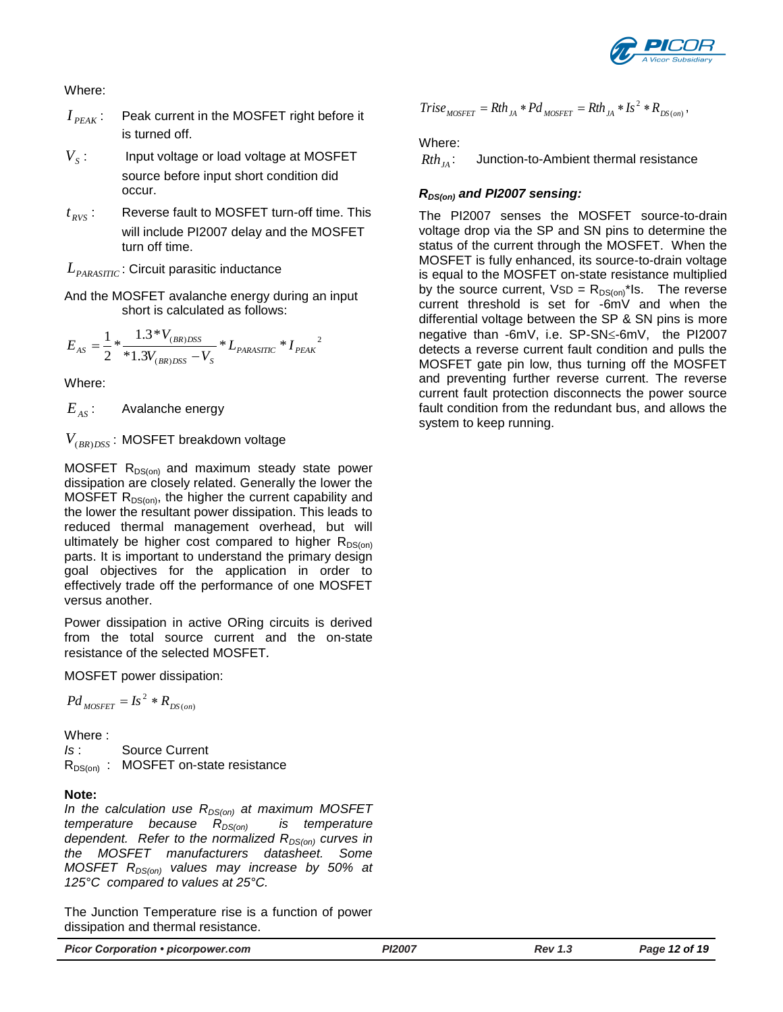

### Where:

- $I_{\textit{PFAK}}$ : : Peak current in the MOSFET right before it is turned off.
- $V<sub>s</sub>$ : : Input voltage or load voltage at MOSFET source before input short condition did occur.
- $t_{RVS}$ : Reverse fault to MOSFET turn-off time. This will include PI2007 delay and the MOSFET turn off time.

 $L_{\scriptscriptstyle{PARASTIC}}$  : Circuit parasitic inductance

And the MOSFET avalanche energy during an input short is calculated as follows:

$$
E_{AS} = \frac{1}{2} * \frac{1.3 * V_{(BR)DSS}}{*1.3V_{(BR)DSS} - V_s} * L_{PARASITIC} * I_{PEAK}^{2}
$$

Where:

 $E_{\text{AS}}$ : Avalanche energy

*V*(*BR*)*DSS* : MOSFET breakdown voltage

MOSFET  $R_{DS(on)}$  and maximum steady state power dissipation are closely related. Generally the lower the MOSFET  $R_{DS(on)}$ , the higher the current capability and the lower the resultant power dissipation. This leads to reduced thermal management overhead, but will ultimately be higher cost compared to higher  $R_{DS(on)}$ parts. It is important to understand the primary design goal objectives for the application in order to effectively trade off the performance of one MOSFET versus another.

Power dissipation in active ORing circuits is derived from the total source current and the on-state resistance of the selected MOSFET*.*

MOSFET power dissipation:

$$
Pd_{MOSFET} = Is^2 * R_{DS(on)}
$$

Where :

*Is* : Source Current  $R_{DS(on)}$  : MOSFET on-state resistance

## **Note:**

*In the calculation use RDS(on) at maximum MOSFET temperature because R<sub>DS(on)</sub> dependent. Refer to the normalized RDS(on) curves in the MOSFET manufacturers datasheet. Some MOSFET RDS(on) values may increase by 50% at 125°C compared to values at 25°C.*

The Junction Temperature rise is a function of power dissipation and thermal resistance.

$$
Trise_{MOSFET} = Rh_{JA} * Pd_{MOSFET} = Rh_{JA} * Is^2 * R_{DS(on)},
$$

### Where:

 $Rth_{IA}$ : : Junction-to-Ambient thermal resistance

## *RDS(on) and PI2007 sensing:*

The PI2007 senses the MOSFET source-to-drain voltage drop via the SP and SN pins to determine the status of the current through the MOSFET. When the MOSFET is fully enhanced, its source-to-drain voltage is equal to the MOSFET on-state resistance multiplied by the source current,  $VSD = R_{DS(0n)}^*$ Is. The reverse current threshold is set for -6mV and when the differential voltage between the SP & SN pins is more negative than -6mV, i.e. SP-SN<-6mV, the PI2007 detects a reverse current fault condition and pulls the MOSFET gate pin low, thus turning off the MOSFET and preventing further reverse current. The reverse current fault protection disconnects the power source fault condition from the redundant bus, and allows the system to keep running.

*Picor Corporation • picorpower.com PI2007 Rev 1.3 Page 12 of 19*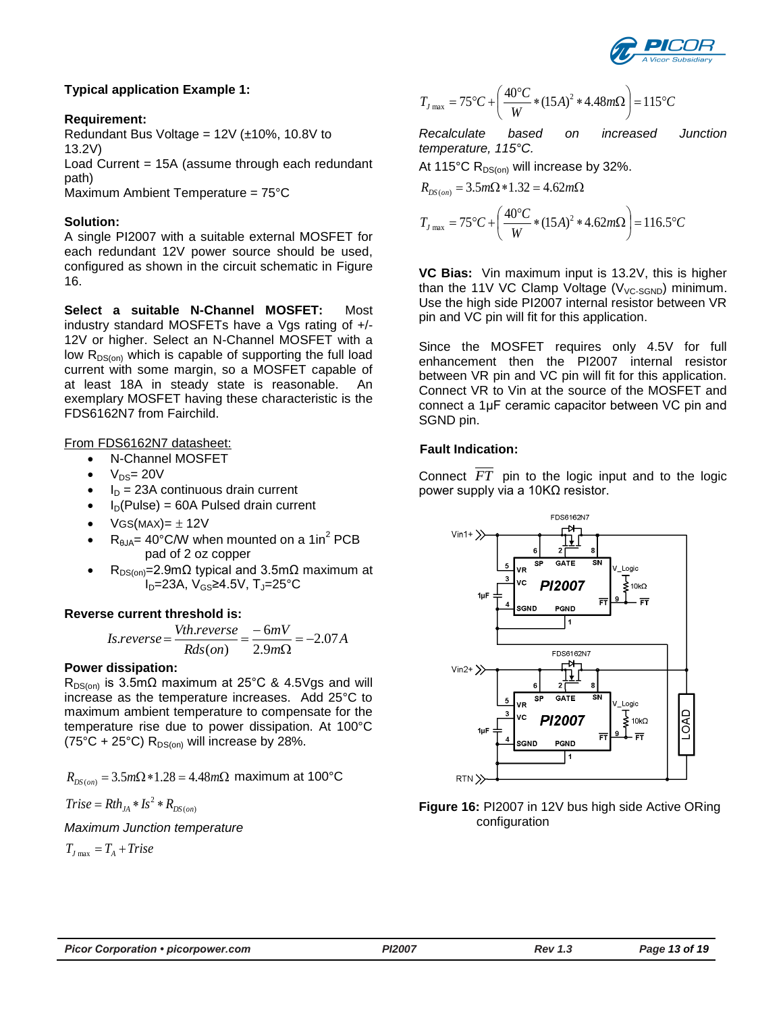

## **Typical application Example 1:**

### **Requirement:**

Redundant Bus Voltage =  $12V$  ( $\pm$ 10%, 10.8V to 13.2V)

Load Current = 15A (assume through each redundant path)

Maximum Ambient Temperature = 75°C

### **Solution:**

A single PI2007 with a suitable external MOSFET for each redundant 12V power source should be used, configured as shown in the circuit schematic in [Figure](#page-12-0)  [16.](#page-12-0)

**Select a suitable N-Channel MOSFET:** Most industry standard MOSFETs have a Vgs rating of +/- 12V or higher. Select an N-Channel MOSFET with a low  $R_{DS(on)}$  which is capable of supporting the full load current with some margin, so a MOSFET capable of at least 18A in steady state is reasonable. An exemplary MOSFET having these characteristic is the FDS6162N7 from Fairchild.

### From FDS6162N7 datasheet:

N-Channel MOSFET

- $\bullet$   $V_{DS} = 20V$
- $I_D$  = 23A continuous drain current
- $I_D(Pulse) = 60A$  Pulsed drain current
- $VGS(MAX)= \pm 12V$
- $R_{\theta JA}$  = 40°C/W when mounted on a 1in<sup>2</sup> PCB pad of 2 oz copper
- $R_{DS(on)}$ =2.9mΩ typical and 3.5mΩ maximum at  $I<sub>D</sub>=23A, V<sub>GS</sub>≥4.5V, T<sub>J</sub>=25°C$

### **Reverse current threshold is:**

$$
Is. reverse = \frac{Vth. reverse}{Rds (on)} = \frac{-6mV}{2.9m\Omega} = -2.07 A
$$

### **Power dissipation:**

 $R_{DS(00)}$  is 3.5mΩ maximum at 25°C & 4.5Vgs and will increase as the temperature increases. Add 25°C to maximum ambient temperature to compensate for the temperature rise due to power dissipation. At 100°C (75°C + 25°C)  $R_{DS(0n)}$  will increase by 28%.

$$
R_{DS(on)} = 3.5m\Omega * 1.28 = 4.48m\Omega
$$
 maximum at 100°C

$$
Trise = Rth_{JA} * Is^2 * R_{DS(on)}
$$

*Maximum Junction temperature*

$$
T_{J\max} = T_A + Trise
$$

$$
T_{J\text{ max}} = 75^{\circ}C + \left(\frac{40^{\circ}C}{W} * (15A)^{2} * 4.48m\Omega\right) = 115^{\circ}C
$$

*Recalculate based on increased Junction temperature, 115°C.*

At 115°C  $R_{DS(0n)}$  will increase by 32%.

$$
R_{DS(on)} = 3.5m\Omega * 1.32 = 4.62m\Omega
$$
  

$$
T_{J_{\text{max}}} = 75^{\circ}C + \left(\frac{40^{\circ}C}{W} * (15A)^{2} * 4.62m\Omega\right) = 116.5^{\circ}C
$$

**VC Bias:** Vin maximum input is 13.2V, this is higher than the 11V VC Clamp Voltage ( $V_{VC-SGND}$ ) minimum. Use the high side PI2007 internal resistor between VR pin and VC pin will fit for this application.

Since the MOSFET requires only 4.5V for full enhancement then the PI2007 internal resistor between VR pin and VC pin will fit for this application. Connect VR to Vin at the source of the MOSFET and connect a 1μF ceramic capacitor between VC pin and SGND pin.

## **Fault Indication:**

Connect *FT* pin to the logic input and to the logic power supply via a 10KΩ resistor.



<span id="page-12-0"></span>**Figure 16:** PI2007 in 12V bus high side Active ORing configuration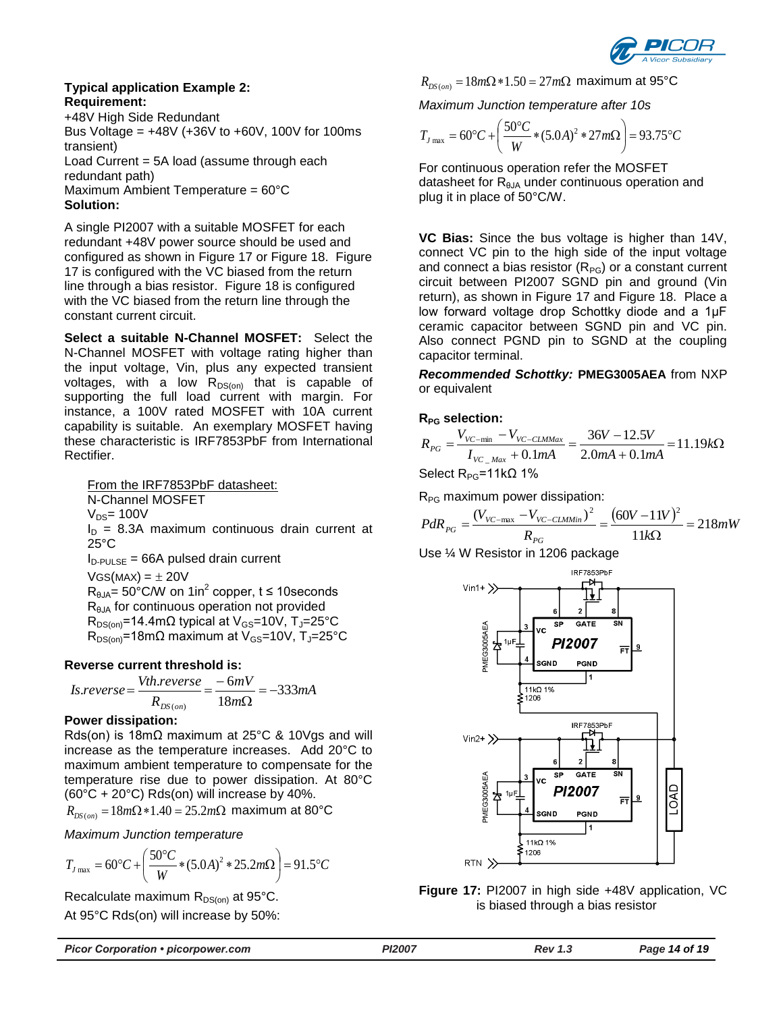

#### **Typical application Example 2: Requirement:**

+48V High Side Redundant Bus Voltage =  $+48V$  ( $+36V$  to  $+60V$ , 100V for 100ms transient) Load Current = 5A load (assume through each redundant path) Maximum Ambient Temperature = 60°C **Solution:**

A single PI2007 with a suitable MOSFET for each redundant +48V power source should be used and configured as shown in [Figure 17](#page-13-0) or [Figure 18.](#page-14-1) [Figure](#page-13-0)  [17](#page-13-0) is configured with the VC biased from the return line through a bias resistor. [Figure 18](#page-14-1) is configured with the VC biased from the return line through the constant current circuit.

**Select a suitable N-Channel MOSFET:** Select the N-Channel MOSFET with voltage rating higher than the input voltage, Vin, plus any expected transient voltages, with a low  $R_{DS(on)}$  that is capable of supporting the full load current with margin. For instance, a 100V rated MOSFET with 10A current capability is suitable. An exemplary MOSFET having these characteristic is IRF7853PbF from International Rectifier.

From the IRF7853PbF datasheet: N-Channel MOSFET  $V_{DS}$ = 100 $V$  $I_D$  = 8.3A maximum continuous drain current at 25°C  $I_{D\text{-PULSE}} = 66A$  pulsed drain current  $VGS(MAX) = \pm 20V$  $R_{\theta$ JA= 50°C/W on 1in<sup>2</sup> copper, t ≤ 10seconds  $R<sub>BLA</sub>$  for continuous operation not provided  $R_{DS(on)}$ =14.4m $\Omega$  typical at V<sub>GS</sub>=10V, T<sub>J</sub>=25°C  $R_{DS(on)}$ =18mΩ maximum at V<sub>GS</sub>=10V, T<sub>J</sub>=25°C

### **Reverse current threshold is:**

*Is.reverse* = 
$$
\frac{Vth.reverse}{R_{DS(on)}} = \frac{-6mV}{18m\Omega} = -333mA
$$

## **Power dissipation:**

Rds(on) is 18m $\Omega$  maximum at 25°C & 10Vgs and will increase as the temperature increases. Add 20°C to maximum ambient temperature to compensate for the temperature rise due to power dissipation. At 80°C  $(60^{\circ}C + 20^{\circ}C)$  Rds(on) will increase by 40%.

$$
R_{DS(on)} = 18m\Omega * 1.40 = 25.2m\Omega
$$
 maximum at 80°C

*Maximum Junction temperature*

$$
T_{J_{\text{max}}} = 60^{\circ}C + \left(\frac{50^{\circ}C}{W} * (5.0A)^{2} * 25.2m\Omega\right) = 91.5^{\circ}C
$$

Recalculate maximum  $R_{DS(0n)}$  at 95°C. At 95°C Rds(on) will increase by 50%:  $R_{\rm DS(\it on)}=18m\Omega*1.50$  = 27 $m\Omega$  maximum at 95°C

*Maximum Junction temperature after 10s*

$$
T_{J_{\text{max}}} = 60^{\circ}C + \left(\frac{50^{\circ}C}{W} * (5.0A)^{2} * 27m\Omega\right) = 93.75^{\circ}C
$$

For continuous operation refer the MOSFET datasheet for  $R_{\theta JA}$  under continuous operation and plug it in place of 50°C/W.

**VC Bias:** Since the bus voltage is higher than 14V, connect VC pin to the high side of the input voltage and connect a bias resistor  $(R_{PG})$  or a constant current circuit between PI2007 SGND pin and ground (Vin return), as shown in [Figure 17](#page-13-0) and [Figure 18.](#page-14-1) Place a low forward voltage drop Schottky diode and a 1μF ceramic capacitor between SGND pin and VC pin. Also connect PGND pin to SGND at the coupling capacitor terminal.

*Recommended Schottky:* **PMEG3005AEA** from NXP or equivalent

## **RPG selection:**

$$
R_{PG} = \frac{V_{VC-min} - V_{VC-CLMMax}}{I_{VC\_Max} + 0.1mA} = \frac{36V - 12.5V}{2.0mA + 0.1mA} = 11.19k\Omega
$$

Select R<sub>PG</sub>=11kΩ 1%

 $R_{PG}$  maximum power dissipation:

$$
PdR_{PG} = \frac{(V_{VC-\text{max}} - V_{VC-\text{CLMMin}})^2}{R_{PG}} = \frac{(60V - 11V)^2}{11k\Omega} = 218mW
$$

Use ¼ W Resistor in 1206 package



<span id="page-13-0"></span>**Figure 17:** PI2007 in high side +48V application, VC is biased through a bias resistor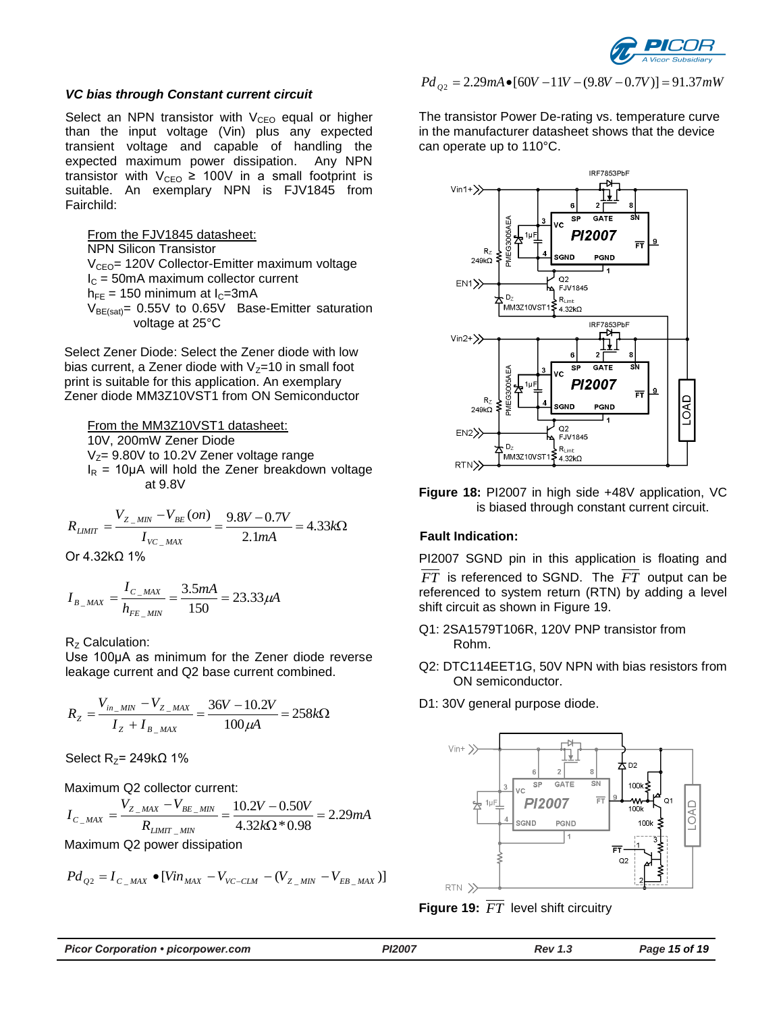

#### *VC bias through Constant current circuit*

Select an NPN transistor with  $V_{CEO}$  equal or higher than the input voltage (Vin) plus any expected transient voltage and capable of handling the expected maximum power dissipation. Any NPN transistor with  $V_{CEO} \ge 100V$  in a small footprint is suitable. An exemplary NPN is FJV1845 from Fairchild:

From the FJV1845 datasheet: NPN Silicon Transistor V<sub>CEO</sub>= 120V Collector-Emitter maximum voltage  $I<sub>C</sub>$  = 50mA maximum collector current  $h_{FF}$  = 150 minimum at  $I_{C}$ =3mA  $V_{BE(sat)} = 0.55V$  to 0.65V Base-Emitter saturation voltage at 25°C

Select Zener Diode: Select the Zener diode with low bias current, a Zener diode with  $V_Z=10$  in small foot print is suitable for this application. An exemplary Zener diode MM3Z10VST1 from ON Semiconductor

From the MM3Z10VST1 datasheet: 10V, 200mW Zener Diode  $V_{Z}= 9.80V$  to 10.2V Zener voltage range  $I_R$  = 10µA will hold the Zener breakdown voltage at 9.8V

$$
R_{LIMIT} = \frac{V_{Z_{MIN}} - V_{BE}(on)}{I_{VC_{MAX}}} = \frac{9.8V - 0.7V}{2.1mA} = 4.33k\Omega
$$
  
Or 4.32k $\Omega$  1%

$$
I_{B_{-MAX}} = \frac{I_{C_{-MAX}}}{h_{FE_{-MIN}}} = \frac{3.5mA}{150} = 23.33 \mu A
$$

#### R<sub>z</sub> Calculation:

Use 100µA as minimum for the Zener diode reverse leakage current and Q2 base current combined.

$$
R_{Z} = \frac{V_{in\_MIN} - V_{Z\_MAX}}{I_{Z} + I_{B\_MAX}} = \frac{36V - 10.2V}{100 \mu A} = 258k\Omega
$$

Select R<sub>z</sub>= 249kΩ 1%

Maximum Q2 collector current:

$$
I_{C_{\_MAX}} = \frac{V_{Z_{\_MAX}} - V_{BE_{\_MIN}}}{R_{\text{LIMIT}_{\_MIN}}} = \frac{10.2V - 0.50V}{4.32k\Omega * 0.98} = 2.29mA
$$

Maximum Q2 power dissipation

$$
Pd_{Q2} = I_{C_{\_MAX}} \bullet [Vin_{MAX} - V_{VC-CLM} - (V_{Z_{\_MIN}} - V_{EB_{\_MAX}})]
$$

### $Pd_{Q2} = 2.29mA \cdot [60V - 11V - (9.8V - 0.7V)] = 91.37mW$

The transistor Power De-rating vs. temperature curve in the manufacturer datasheet shows that the device can operate up to 110°C.



<span id="page-14-1"></span>**Figure 18:** PI2007 in high side +48V application, VC is biased through constant current circuit.

#### **Fault Indication:**

PI2007 SGND pin in this application is floating and *FT* is referenced to SGND. The *FT* output can be referenced to system return (RTN) by adding a level shift circuit as shown in [Figure 19.](#page-14-0)

- Q1: 2SA1579T106R, 120V PNP transistor from Rohm.
- Q2: DTC114EET1G, 50V NPN with bias resistors from ON semiconductor.
- D1: 30V general purpose diode.



<span id="page-14-0"></span>**Figure 19:** *FT* level shift circuitry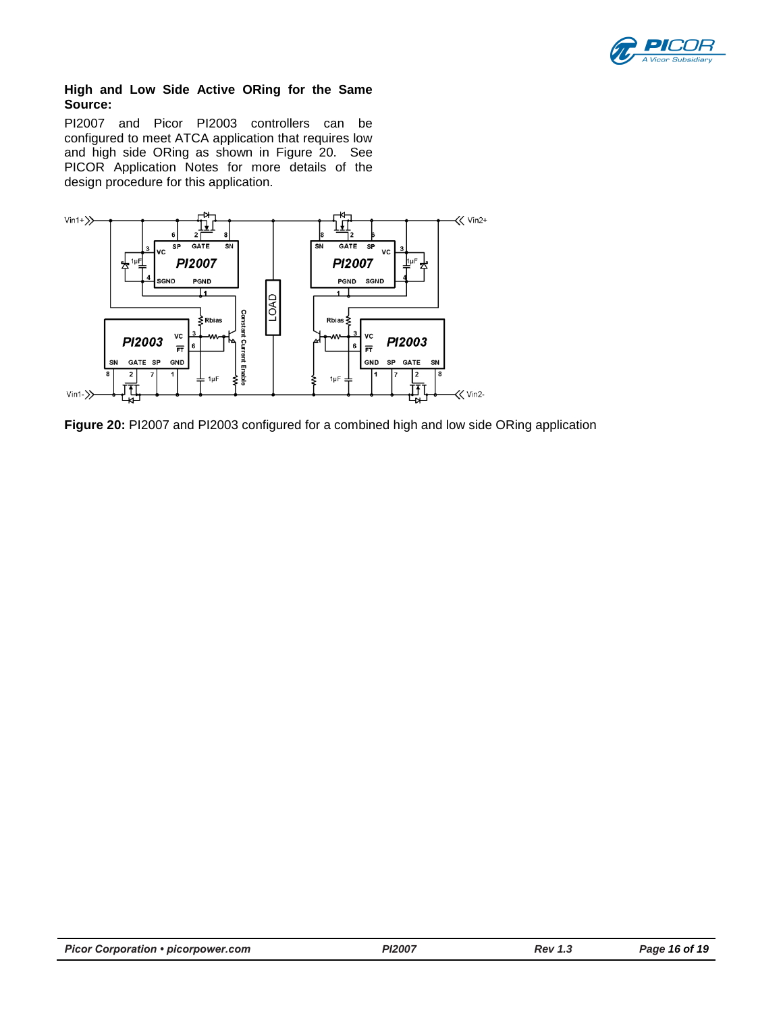

### **High and Low Side Active ORing for the Same Source:**

PI2007 and Picor PI2003 controllers can be configured to meet ATCA application that requires low and high side ORing as shown in [Figure 20.](#page-15-0) See PICOR Application Notes for more details of the design procedure for this application.



<span id="page-15-0"></span>**Figure 20:** PI2007 and PI2003 configured for a combined high and low side ORing application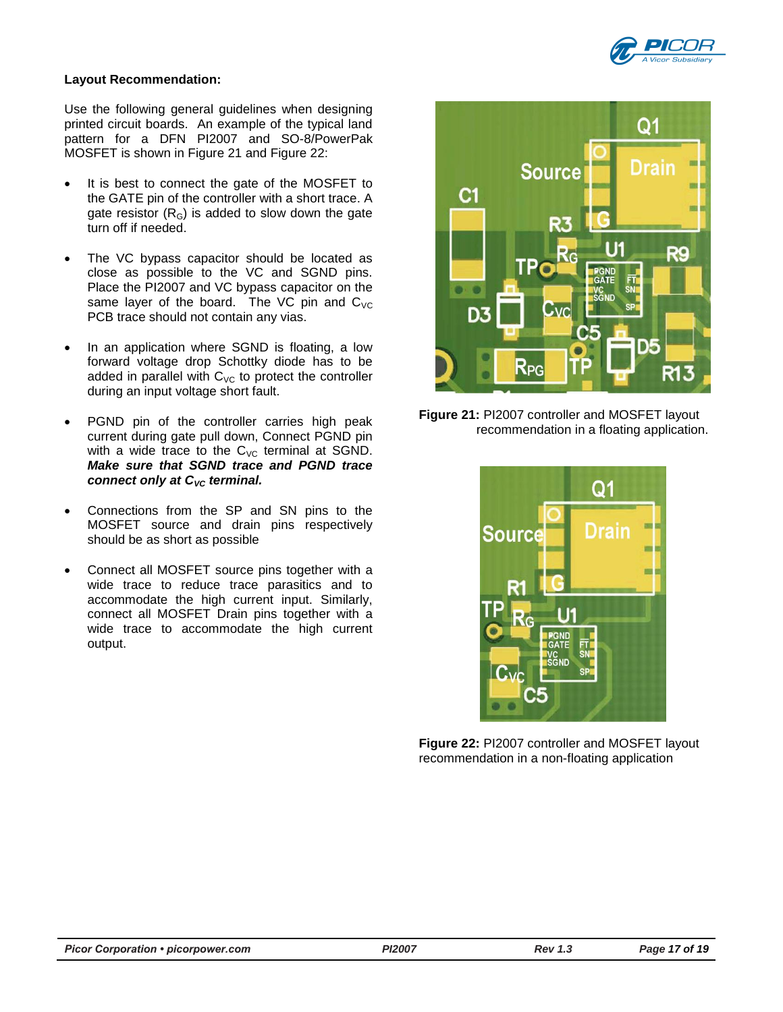

### **Layout Recommendation:**

Use the following general guidelines when designing printed circuit boards. An example of the typical land pattern for a DFN PI2007 and SO-8/PowerPak MOSFET is shown in [Figure 21](#page-16-0) and [Figure 22:](#page-16-1)

- It is best to connect the gate of the MOSFET to the GATE pin of the controller with a short trace. A gate resistor  $(R_G)$  is added to slow down the gate turn off if needed.
- The VC bypass capacitor should be located as close as possible to the VC and SGND pins. Place the PI2007 and VC bypass capacitor on the same layer of the board. The VC pin and  $C_{\text{VC}}$ PCB trace should not contain any vias.
- In an application where SGND is floating, a low forward voltage drop Schottky diode has to be added in parallel with  $C_{\text{VC}}$  to protect the controller during an input voltage short fault.
- PGND pin of the controller carries high peak current during gate pull down, Connect PGND pin with a wide trace to the  $C_{\text{VC}}$  terminal at SGND. *Make sure that SGND trace and PGND trace connect only at C<sub>VC</sub> terminal.*
- Connections from the SP and SN pins to the MOSFET source and drain pins respectively should be as short as possible
- Connect all MOSFET source pins together with a wide trace to reduce trace parasitics and to accommodate the high current input. Similarly, connect all MOSFET Drain pins together with a wide trace to accommodate the high current output.



**Figure 21:** PI2007 controller and MOSFET layout recommendation in a floating application.

<span id="page-16-1"></span><span id="page-16-0"></span>

**Figure 22:** PI2007 controller and MOSFET layout recommendation in a non-floating application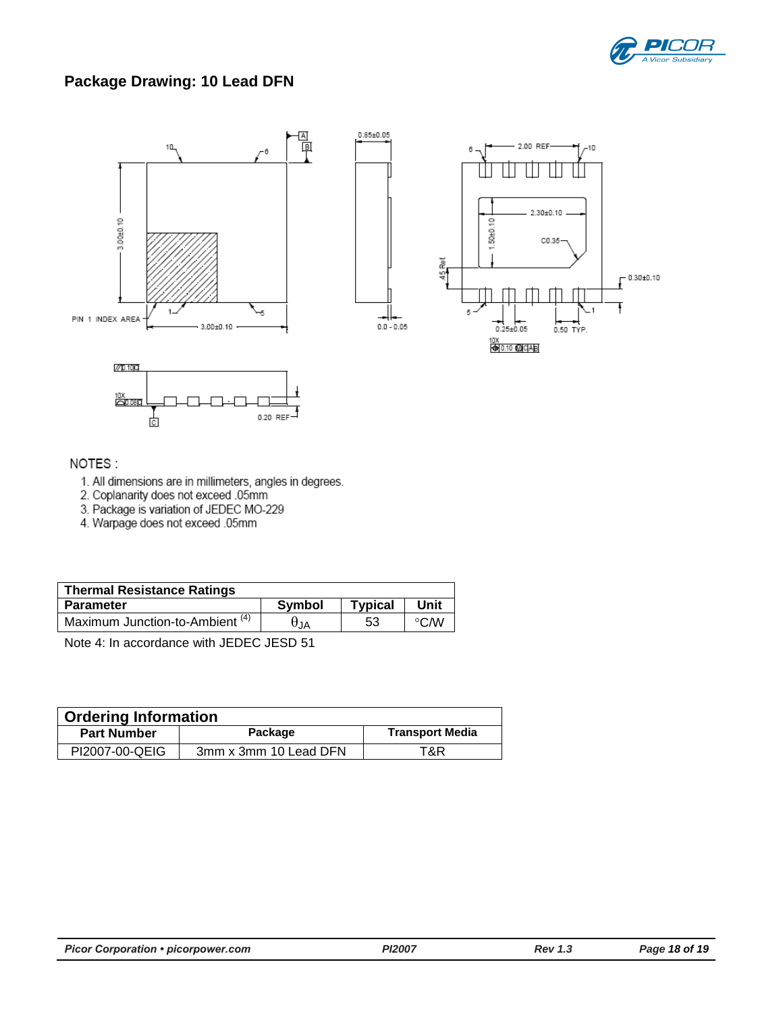

# **Package Drawing: 10 Lead DFN**









## NOTES:

- 1. All dimensions are in millimeters, angles in degrees.
- 2. Coplanarity does not exceed .05mm
- 3. Package is variation of JEDEC MO-229
- 4. Warpage does not exceed .05mm

| <b>Thermal Resistance Ratings</b>          |               |                |                   |  |  |  |
|--------------------------------------------|---------------|----------------|-------------------|--|--|--|
| <b>Parameter</b>                           | <b>Symbol</b> | <b>Typical</b> | Unit              |  |  |  |
| Maximum Junction-to-Ambient <sup>(4)</sup> | UJA           | 53             | $\rm ^{\circ}$ CM |  |  |  |

Note 4: In accordance with JEDEC JESD 51

| <b>Ordering Information</b> |                       |                        |  |  |  |
|-----------------------------|-----------------------|------------------------|--|--|--|
| <b>Part Number</b>          | Package               | <b>Transport Media</b> |  |  |  |
| PI2007-00-QEIG              | 3mm x 3mm 10 Lead DFN | T&R                    |  |  |  |